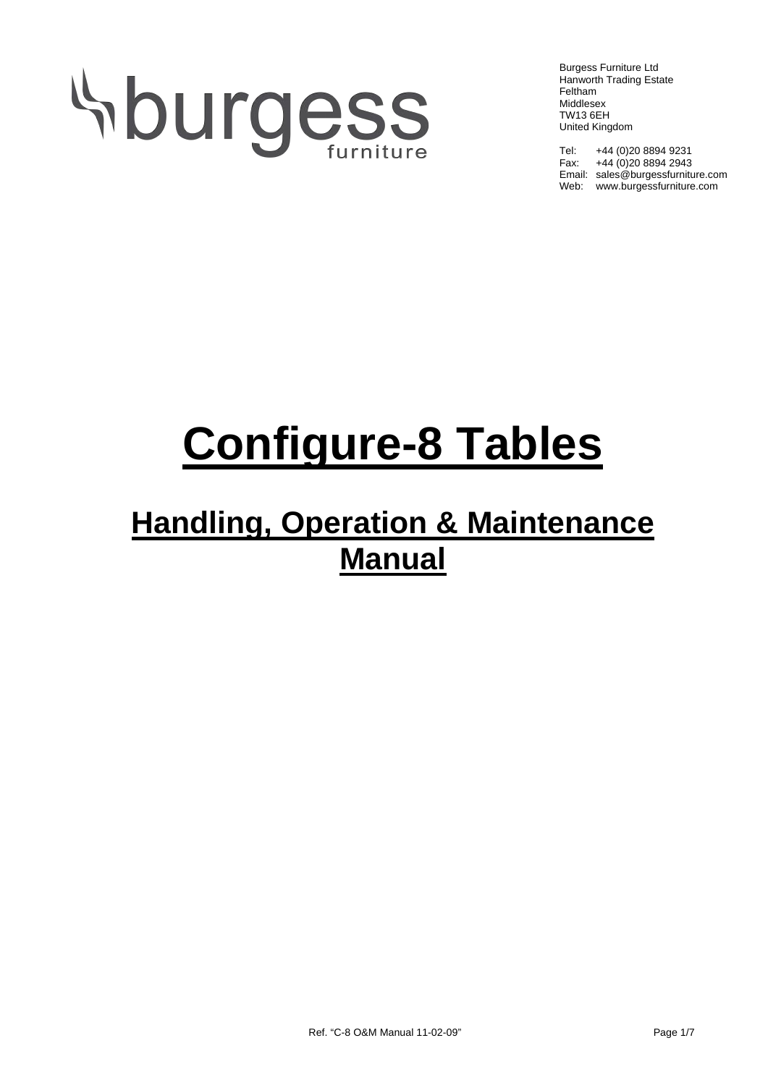# Hburgess

Burgess Furniture Ltd Hanworth Trading Estate Feltham Middlesex TW13 6EH United Kingdom

Tel: +44 (0)20 8894 9231 Fax: +44 (0)20 8894 2943 Email: sales@burgessfurniture.com Web: www.burgessfurniture.com

## **Configure-8 Tables**

### **Handling, Operation & Maintenance Manual**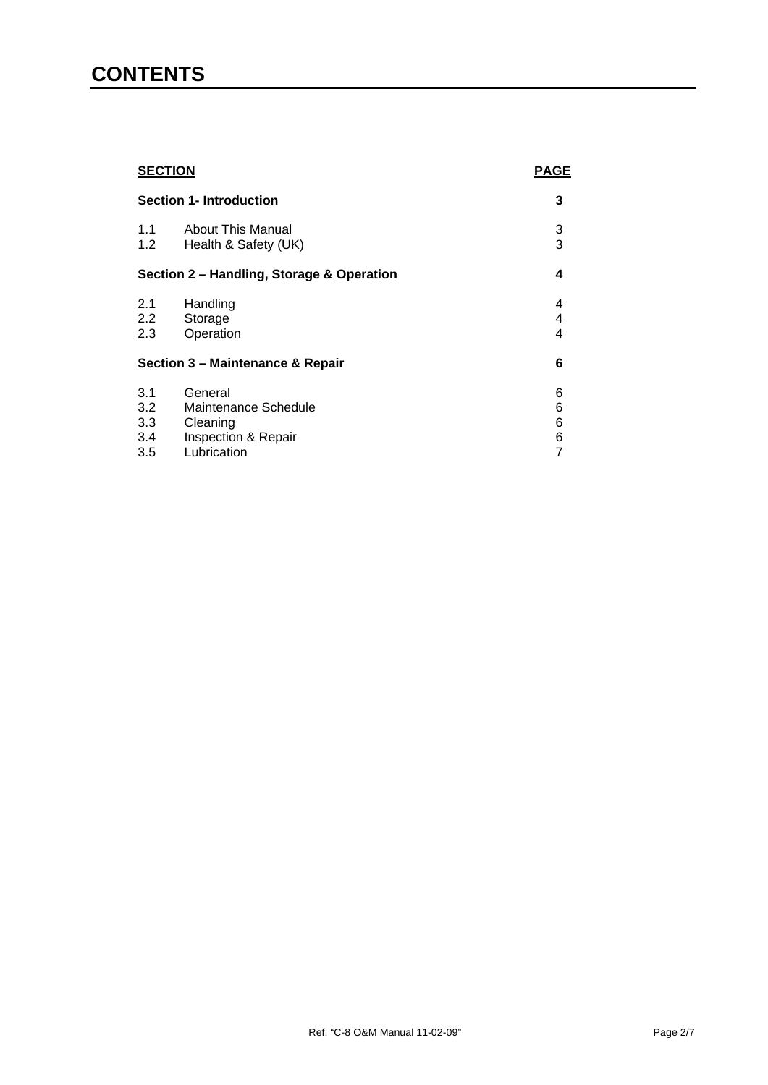#### **CONTENTS**

| <b>SECTION</b><br><b>Section 1- Introduction</b> |                                                                    | <b>PAGE</b>      |
|--------------------------------------------------|--------------------------------------------------------------------|------------------|
|                                                  |                                                                    | 3                |
| 1.1<br>1.2                                       | About This Manual<br>Health & Safety (UK)                          | 3<br>3           |
| Section 2 - Handling, Storage & Operation        |                                                                    | 4                |
| 2.1<br>$2.2^{\circ}$<br>2.3                      | Handling<br>Storage<br>Operation                                   | 4<br>4<br>4      |
| Section 3 - Maintenance & Repair                 |                                                                    | 6                |
| 3.1<br>3.2<br>3.3<br>3.4                         | General<br>Maintenance Schedule<br>Cleaning<br>Inspection & Repair | 6<br>6<br>6<br>6 |
| 3.5                                              | Lubrication                                                        | 7                |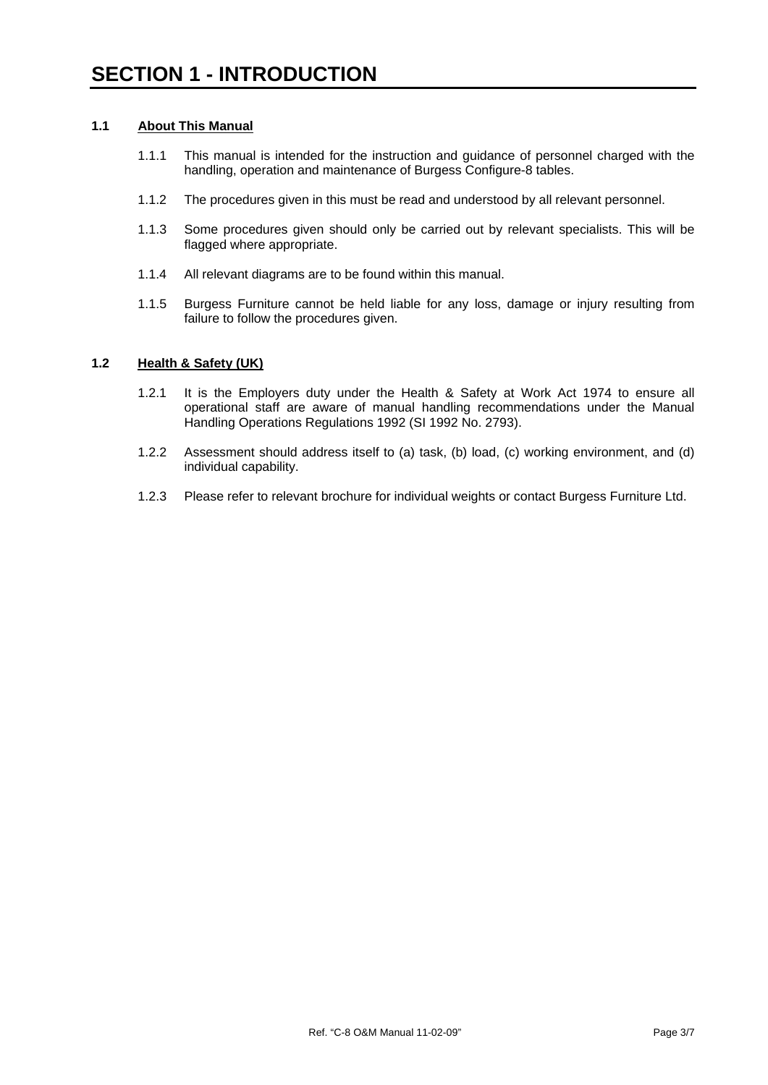#### **1.1 About This Manual**

- 1.1.1 This manual is intended for the instruction and guidance of personnel charged with the handling, operation and maintenance of Burgess Configure-8 tables.
- 1.1.2 The procedures given in this must be read and understood by all relevant personnel.
- 1.1.3 Some procedures given should only be carried out by relevant specialists. This will be flagged where appropriate.
- 1.1.4 All relevant diagrams are to be found within this manual.
- 1.1.5 Burgess Furniture cannot be held liable for any loss, damage or injury resulting from failure to follow the procedures given.

#### **1.2 Health & Safety (UK)**

- 1.2.1 It is the Employers duty under the Health & Safety at Work Act 1974 to ensure all operational staff are aware of manual handling recommendations under the Manual Handling Operations Regulations 1992 (SI 1992 No. 2793).
- 1.2.2 Assessment should address itself to (a) task, (b) load, (c) working environment, and (d) individual capability.
- 1.2.3 Please refer to relevant brochure for individual weights or contact Burgess Furniture Ltd.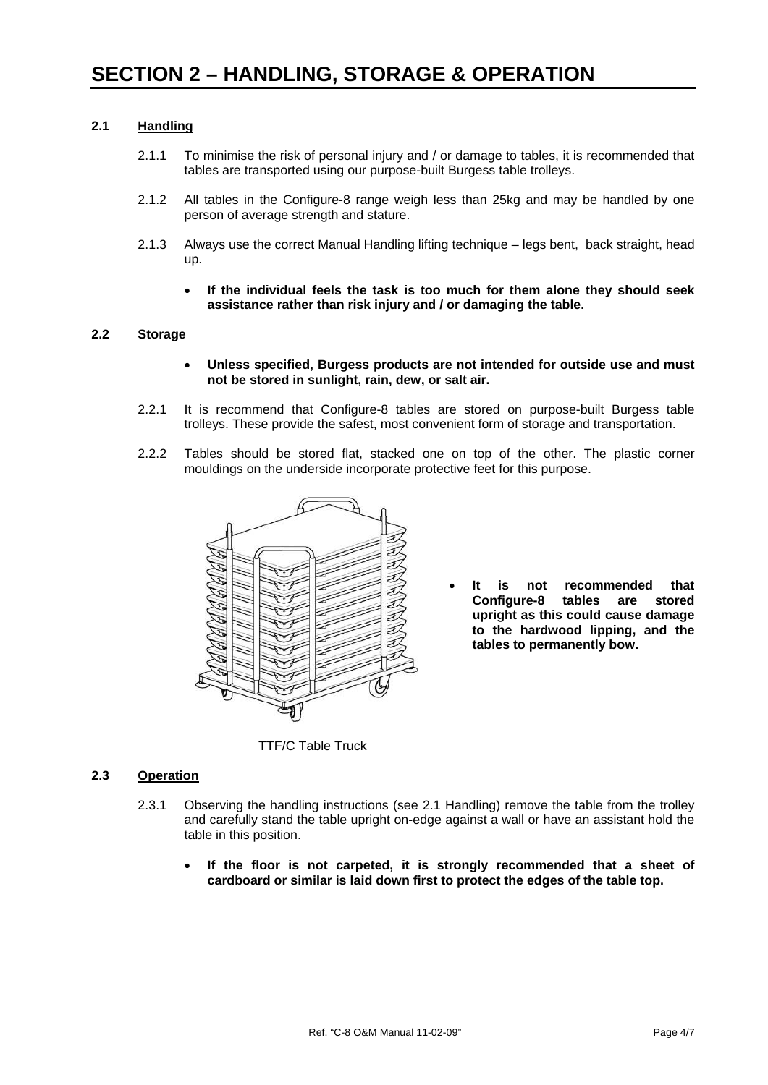#### **2.1 Handling**

- 2.1.1 To minimise the risk of personal injury and / or damage to tables, it is recommended that tables are transported using our purpose-built Burgess table trolleys.
- 2.1.2 All tables in the Configure-8 range weigh less than 25kg and may be handled by one person of average strength and stature.
- 2.1.3 Always use the correct Manual Handling lifting technique legs bent, back straight, head up.
	- **If the individual feels the task is too much for them alone they should seek assistance rather than risk injury and / or damaging the table.**

#### **2.2 Storage**

- **Unless specified, Burgess products are not intended for outside use and must not be stored in sunlight, rain, dew, or salt air.**
- 2.2.1 It is recommend that Configure-8 tables are stored on purpose-built Burgess table trolleys. These provide the safest, most convenient form of storage and transportation.
- 2.2.2 Tables should be stored flat, stacked one on top of the other. The plastic corner mouldings on the underside incorporate protective feet for this purpose.



• **It is not recommended that Configure-8 tables are stored upright as this could cause damage to the hardwood lipping, and the tables to permanently bow.**

TTF/C Table Truck

#### **2.3 Operation**

- 2.3.1 Observing the handling instructions (see 2.1 Handling) remove the table from the trolley and carefully stand the table upright on-edge against a wall or have an assistant hold the table in this position.
	- **If the floor is not carpeted, it is strongly recommended that a sheet of cardboard or similar is laid down first to protect the edges of the table top.**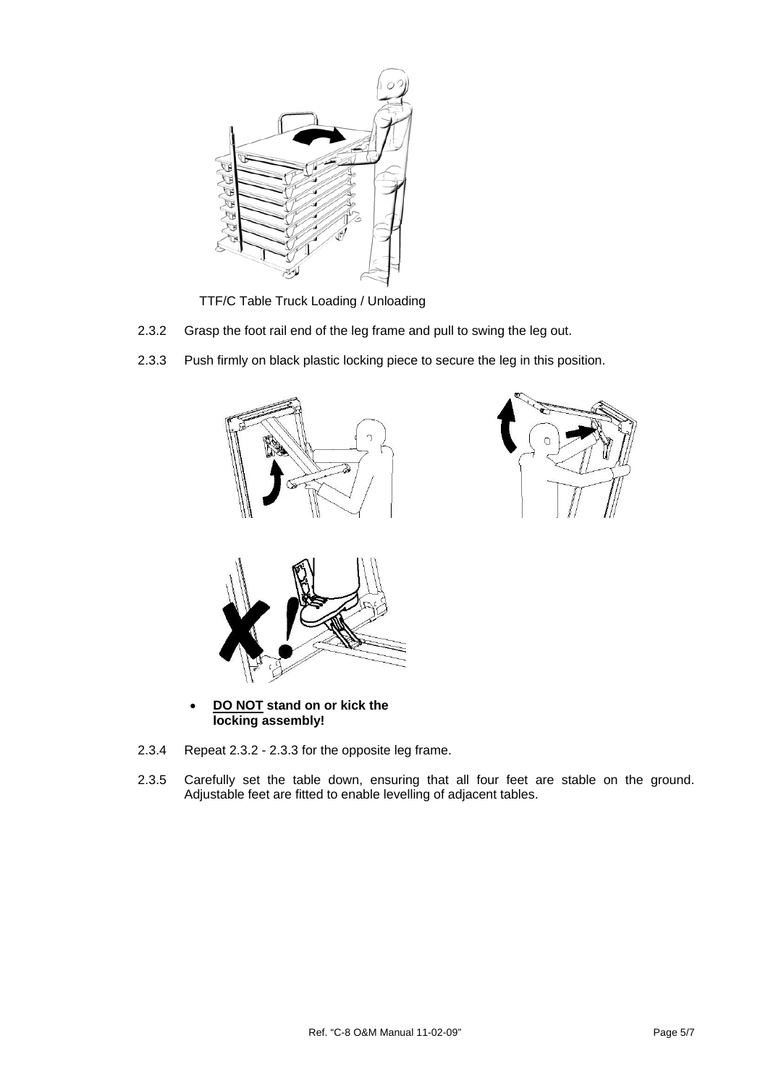

TTF/C Table Truck Loading / Unloading

- 2.3.2 Grasp the foot rail end of the leg frame and pull to swing the leg out.
- 2.3.3 Push firmly on black plastic locking piece to secure the leg in this position.



• **DO NOT stand on or kick the locking assembly!**

- 2.3.4 Repeat 2.3.2 2.3.3 for the opposite leg frame.
- 2.3.5 Carefully set the table down, ensuring that all four feet are stable on the ground. Adjustable feet are fitted to enable levelling of adjacent tables.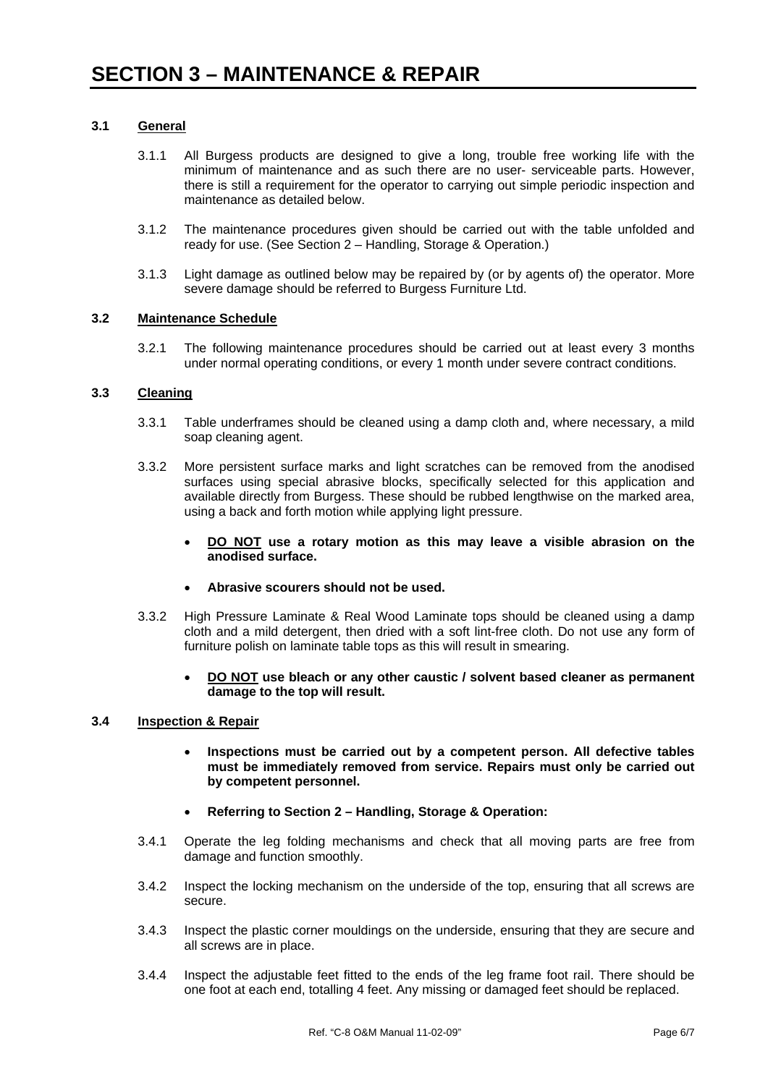#### **3.1 General**

- 3.1.1 All Burgess products are designed to give a long, trouble free working life with the minimum of maintenance and as such there are no user- serviceable parts. However, there is still a requirement for the operator to carrying out simple periodic inspection and maintenance as detailed below.
- 3.1.2 The maintenance procedures given should be carried out with the table unfolded and ready for use. (See Section 2 – Handling, Storage & Operation.)
- 3.1.3 Light damage as outlined below may be repaired by (or by agents of) the operator. More severe damage should be referred to Burgess Furniture Ltd.

#### **3.2 Maintenance Schedule**

3.2.1 The following maintenance procedures should be carried out at least every 3 months under normal operating conditions, or every 1 month under severe contract conditions.

#### **3.3 Cleaning**

- 3.3.1 Table underframes should be cleaned using a damp cloth and, where necessary, a mild soap cleaning agent.
- 3.3.2 More persistent surface marks and light scratches can be removed from the anodised surfaces using special abrasive blocks, specifically selected for this application and available directly from Burgess. These should be rubbed lengthwise on the marked area, using a back and forth motion while applying light pressure.
	- **DO NOT use a rotary motion as this may leave a visible abrasion on the anodised surface.**
	- **Abrasive scourers should not be used.**
- 3.3.2 High Pressure Laminate & Real Wood Laminate tops should be cleaned using a damp cloth and a mild detergent, then dried with a soft lint-free cloth. Do not use any form of furniture polish on laminate table tops as this will result in smearing.
	- **DO NOT use bleach or any other caustic / solvent based cleaner as permanent damage to the top will result.**

#### **3.4 Inspection & Repair**

- **Inspections must be carried out by a competent person. All defective tables must be immediately removed from service. Repairs must only be carried out by competent personnel.**
- **Referring to Section 2 Handling, Storage & Operation:**
- 3.4.1 Operate the leg folding mechanisms and check that all moving parts are free from damage and function smoothly.
- 3.4.2 Inspect the locking mechanism on the underside of the top, ensuring that all screws are secure.
- 3.4.3 Inspect the plastic corner mouldings on the underside, ensuring that they are secure and all screws are in place.
- 3.4.4 Inspect the adjustable feet fitted to the ends of the leg frame foot rail. There should be one foot at each end, totalling 4 feet. Any missing or damaged feet should be replaced.